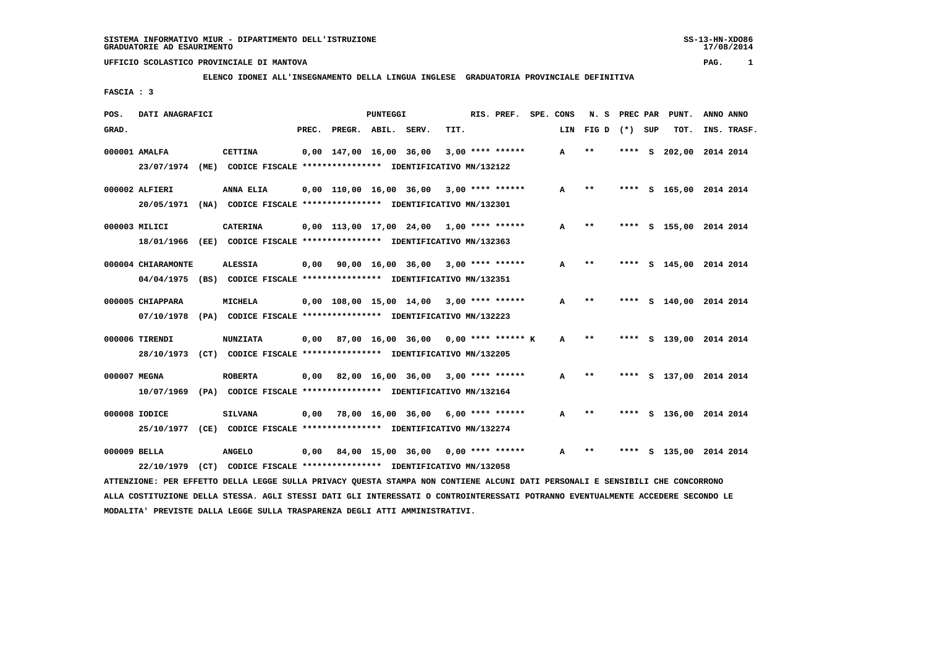# **ELENCO IDONEI ALL'INSEGNAMENTO DELLA LINGUA INGLESE GRADUATORIA PROVINCIALE DEFINITIVA**

 **FASCIA : 3**

| POS.         | DATI ANAGRAFICI                  |      |                                                                                            |       |                         | PUNTEGGI |                                            |      | RIS. PREF.           | SPE. CONS | N.S   | PREC PAR |     | PUNT.              | ANNO ANNO |             |
|--------------|----------------------------------|------|--------------------------------------------------------------------------------------------|-------|-------------------------|----------|--------------------------------------------|------|----------------------|-----------|-------|----------|-----|--------------------|-----------|-------------|
| GRAD.        |                                  |      |                                                                                            | PREC. | PREGR. ABIL.            |          | SERV.                                      | TIT. |                      | LIN       | FIG D | $(*)$    | SUP | TOT.               |           | INS. TRASF. |
|              | 000001 AMALFA<br>23/07/1974      | (ME) | <b>CETTINA</b><br>CODICE FISCALE **************** IDENTIFICATIVO MN/132122                 |       | 0,00 147,00 16,00 36,00 |          |                                            |      | $3,00$ **** ******   | A         | $**$  | ****     | s.  | 202,00             |           | 2014 2014   |
|              | 000002 ALFIERI<br>20/05/1971     |      | ANNA ELIA<br>(NA) CODICE FISCALE **************** IDENTIFICATIVO MN/132301                 |       | 0,00 110,00 16,00 36,00 |          |                                            |      | $3,00$ **** ******   | A         | $**$  | ****     |     | S 165,00 2014 2014 |           |             |
|              | 000003 MILICI<br>18/01/1966      |      | <b>CATERINA</b><br>(EE) CODICE FISCALE **************** IDENTIFICATIVO MN/132363           |       |                         |          | $0.00$ 113.00 17.00 24.00 1.00 **** ****** |      |                      | А         | $**$  | ****     |     | S 155,00 2014 2014 |           |             |
|              | 000004 CHIARAMONTE<br>04/04/1975 |      | <b>ALESSIA</b><br>(BS) CODICE FISCALE **************** IDENTIFICATIVO MN/132351            | 0,00  |                         |          | 90,00 16,00 36,00                          |      | $3,00$ **** ******   | A         | $***$ |          |     | S 145,00 2014 2014 |           |             |
|              | 000005 CHIAPPARA<br>07/10/1978   |      | MICHELA<br>(PA) CODICE FISCALE **************** IDENTIFICATIVO MN/132223                   |       |                         |          | $0.00$ 108.00 15.00 14.00 3.00 **** ****** |      |                      | A         | $**$  | ****     |     | S 140,00 2014 2014 |           |             |
|              | 000006 TIRENDI                   |      | <b>NUNZIATA</b><br>28/10/1973 (CT) CODICE FISCALE *************** IDENTIFICATIVO MN/132205 | 0.00  |                         |          | 87,00 16,00 36,00                          |      | $0.00$ **** ****** K | A         | $* *$ | ****     |     | S 139,00 2014 2014 |           |             |
| 000007 MEGNA | 10/07/1969                       |      | <b>ROBERTA</b><br>(PA) CODICE FISCALE **************** IDENTIFICATIVO MN/132164            | 0,00  |                         |          | 82,00 16,00 36,00                          |      | $3,00$ **** ******   | A         | $**$  | ****     |     | S 137,00 2014 2014 |           |             |
|              | 000008 IODICE<br>25/10/1977      |      | <b>SILVANA</b><br>(CE) CODICE FISCALE **************** IDENTIFICATIVO MN/132274            | 0.00  | 78,00 16,00 36,00       |          |                                            |      | 6,00 **** ******     | A         | $* *$ | ****     |     | S 136,00 2014 2014 |           |             |
| 000009 BELLA | 22/10/1979                       |      | <b>ANGELO</b><br>(CT) CODICE FISCALE **************** IDENTIFICATIVO MN/132058             | 0,00  |                         |          | 84,00 15,00 36,00                          |      | $0.00$ **** ******   | A         | $* *$ |          |     | S 135,00 2014 2014 |           |             |

 **ATTENZIONE: PER EFFETTO DELLA LEGGE SULLA PRIVACY QUESTA STAMPA NON CONTIENE ALCUNI DATI PERSONALI E SENSIBILI CHE CONCORRONO ALLA COSTITUZIONE DELLA STESSA. AGLI STESSI DATI GLI INTERESSATI O CONTROINTERESSATI POTRANNO EVENTUALMENTE ACCEDERE SECONDO LE MODALITA' PREVISTE DALLA LEGGE SULLA TRASPARENZA DEGLI ATTI AMMINISTRATIVI.**

17/08/2014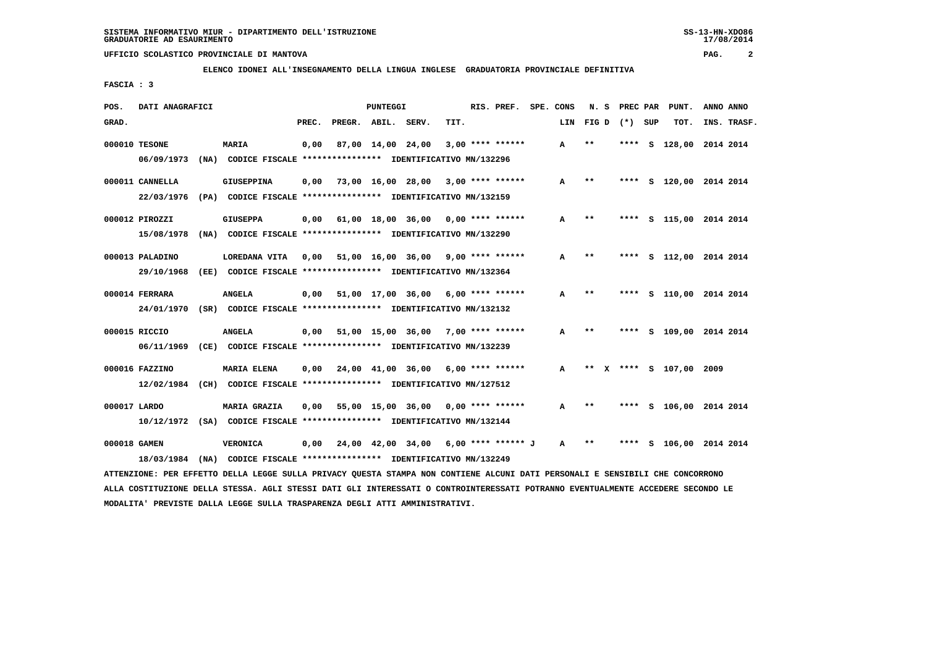**ELENCO IDONEI ALL'INSEGNAMENTO DELLA LINGUA INGLESE GRADUATORIA PROVINCIALE DEFINITIVA**

 **FASCIA : 3**

| POS.         | DATI ANAGRAFICI |                                                                                     |       |                    | PUNTEGGI |                                      |      | RIS. PREF.         | SPE. CONS | N.S                          | PREC PAR |     | PUNT.                   | ANNO ANNO   |
|--------------|-----------------|-------------------------------------------------------------------------------------|-------|--------------------|----------|--------------------------------------|------|--------------------|-----------|------------------------------|----------|-----|-------------------------|-------------|
| GRAD.        |                 |                                                                                     | PREC. | PREGR. ABIL. SERV. |          |                                      | TIT. |                    | LIN       | FIG D                        | $(*)$    | SUP | TOT.                    | INS. TRASF. |
|              | 000010 TESONE   | <b>MARIA</b>                                                                        | 0,00  |                    |          | 87,00 14,00 24,00                    |      | $3,00$ **** ****** | A         | **                           | ****     |     | S 128,00 2014 2014      |             |
|              | 06/09/1973      | (NA) CODICE FISCALE **************** IDENTIFICATIVO MN/132296                       |       |                    |          |                                      |      |                    |           |                              |          |     |                         |             |
|              | 000011 CANNELLA | <b>GIUSEPPINA</b>                                                                   | 0,00  | 73,00 16,00 28,00  |          |                                      |      | $3,00$ **** ****** | A         | $* *$                        | ****     |     | S 120,00 2014 2014      |             |
|              | 22/03/1976      | (PA) CODICE FISCALE **************** IDENTIFICATIVO MN/132159                       |       |                    |          |                                      |      |                    |           |                              |          |     |                         |             |
|              | 000012 PIROZZI  | <b>GIUSEPPA</b>                                                                     | 0,00  |                    |          | 61,00 18,00 36,00                    |      | $0.00$ **** ****** | A         | $* *$                        | ****     |     | S 115,00 2014 2014      |             |
|              | 15/08/1978      | (NA) CODICE FISCALE **************** IDENTIFICATIVO MN/132290                       |       |                    |          |                                      |      |                    |           |                              |          |     |                         |             |
|              | 000013 PALADINO | LOREDANA VITA                                                                       |       |                    |          | 0,00 51,00 16,00 36,00               |      | $9,00$ **** ****** | A         | **                           | ****     |     | S 112,00 2014 2014      |             |
|              | 29/10/1968      | (EE) CODICE FISCALE **************** IDENTIFICATIVO MN/132364                       |       |                    |          |                                      |      |                    |           |                              |          |     |                         |             |
|              | 000014 FERRARA  | <b>ANGELA</b>                                                                       |       |                    |          | 0,00 51,00 17,00 36,00               |      | $6,00$ **** ****** | A         | $**$                         | ****     |     | S 110,00 2014 2014      |             |
|              |                 | 24/01/1970 (SR) CODICE FISCALE *************** IDENTIFICATIVO MN/132132             |       |                    |          |                                      |      |                    |           |                              |          |     |                         |             |
|              | 000015 RICCIO   | <b>ANGELA</b>                                                                       | 0,00  |                    |          | 51,00 15,00 36,00                    |      | $7,00$ **** ****** | A         | $***$                        | ****     |     | S 109,00 2014 2014      |             |
|              | 06/11/1969      | (CE) CODICE FISCALE **************** IDENTIFICATIVO MN/132239                       |       |                    |          |                                      |      |                    |           |                              |          |     |                         |             |
|              | 000016 FAZZINO  |                                                                                     |       |                    |          | 24,00 41,00 36,00                    |      | $6,00$ **** ****** | A         | $\star\star$<br>$\mathbf{x}$ |          |     | **** S 107,00 2009      |             |
|              | 12/02/1984      | <b>MARIA ELENA</b><br>(CH) CODICE FISCALE **************** IDENTIFICATIVO MN/127512 | 0,00  |                    |          |                                      |      |                    |           |                              |          |     |                         |             |
|              |                 |                                                                                     |       |                    |          |                                      |      |                    |           |                              |          |     |                         |             |
| 000017 LARDO |                 | <b>MARIA GRAZIA</b>                                                                 | 0.00  |                    |          | 55,00 15,00 36,00                    |      | $0.00$ **** ****** | A         | $***$                        |          |     | **** S 106,00 2014 2014 |             |
|              |                 | 10/12/1972 (SA) CODICE FISCALE *************** IDENTIFICATIVO MN/132144             |       |                    |          |                                      |      |                    |           |                              |          |     |                         |             |
| 000018 GAMEN |                 | VERONICA                                                                            | 0,00  |                    |          | 24,00 42,00 34,00 6,00 **** ****** J |      |                    | A         | $\star\star$                 |          | s   | 106,00 2014 2014        |             |
|              | 18/03/1984      | (NA) CODICE FISCALE **************** IDENTIFICATIVO MN/132249                       |       |                    |          |                                      |      |                    |           |                              |          |     |                         |             |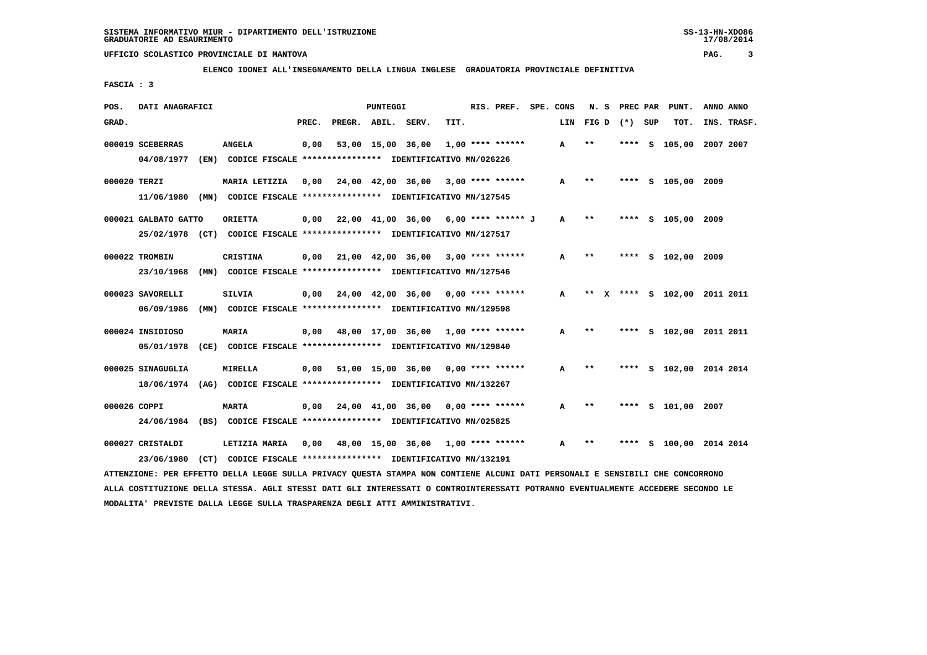**ELENCO IDONEI ALL'INSEGNAMENTO DELLA LINGUA INGLESE GRADUATORIA PROVINCIALE DEFINITIVA**

 **FASCIA : 3**

| POS.  | DATI ANAGRAFICI                                                                                  |                                                                                  |       |                                           | PUNTEGGI          |                                                 |      | RIS. PREF. SPE. CONS |              | N. S  | PREC PAR |   | PUNT.              | ANNO ANNO                 |  |
|-------|--------------------------------------------------------------------------------------------------|----------------------------------------------------------------------------------|-------|-------------------------------------------|-------------------|-------------------------------------------------|------|----------------------|--------------|-------|----------|---|--------------------|---------------------------|--|
| GRAD. |                                                                                                  |                                                                                  | PREC. | PREGR. ABIL. SERV.                        |                   |                                                 | TIT. |                      | LIN          | FIG D | (*) SUP  |   | TOT.               | INS. TRASF.               |  |
|       | 000019 SCEBERRAS<br>04/08/1977<br>(EN)                                                           | <b>ANGELA</b><br>CODICE FISCALE **************** IDENTIFICATIVO MN/026226        | 0,00  |                                           | 53,00 15,00 36,00 |                                                 |      | $1,00$ **** ******   | A            | $**$  |          |   | **** S 105,00      | 2007 2007                 |  |
|       | 000020 TERZI<br>11/06/1980 (MN) CODICE FISCALE *************** IDENTIFICATIVO MN/127545          | MARIA LETIZIA                                                                    | 0.00  |                                           |                   | $24,00$ $42,00$ $36,00$ $3,00$ **** ******      |      |                      | $\mathbf{A}$ | **    |          |   | **** S 105,00 2009 |                           |  |
|       | 000021 GALBATO GATTO<br>25/02/1978 (CT) CODICE FISCALE **************** IDENTIFICATIVO MN/127517 | <b>ORIETTA</b>                                                                   | 0.00  |                                           |                   | 22,00 41,00 36,00 6,00 **** ****** J            |      |                      | A            | $***$ |          |   | **** S 105,00 2009 |                           |  |
|       | 000022 TROMBIN<br>23/10/1968                                                                     | <b>CRISTINA</b><br>(MN) CODICE FISCALE **************** IDENTIFICATIVO MN/127546 | 0.00  |                                           |                   | $21,00$ $42,00$ $36,00$ $3,00$ **** ******      |      |                      | A            | $**$  |          |   | **** S 102,00 2009 |                           |  |
|       | 000023 SAVORELLI<br>06/09/1986                                                                   | <b>SILVIA</b><br>(MN) CODICE FISCALE **************** IDENTIFICATIVO MN/129598   | 0.00  |                                           |                   | $24,00$ $42,00$ $36,00$ $0,00$ $***$ **** ***** |      |                      | A            | $* *$ |          |   |                    | X **** S 102,00 2011 2011 |  |
|       | 000024 INSIDIOSO<br>05/01/1978 (CE) CODICE FISCALE *************** IDENTIFICATIVO MN/129840      | <b>MARIA</b>                                                                     |       | $0,00$ 48,00 17,00 36,00 1,00 **** ****** |                   |                                                 |      |                      | A            | $***$ |          |   |                    | **** S 102,00 2011 2011   |  |
|       | 000025 SINAGUGLIA<br>18/06/1974 (AG) CODICE FISCALE *************** IDENTIFICATIVO MN/132267     | <b>MIRELLA</b>                                                                   | 0,00  |                                           |                   | $51,00$ 15,00 36,00 0,00 **** ******            |      |                      | A            | $***$ |          |   |                    | S 102,00 2014 2014        |  |
|       | 000026 COPPI<br>24/06/1984 (BS) CODICE FISCALE *************** IDENTIFICATIVO MN/025825          | <b>MARTA</b>                                                                     | 0,00  |                                           |                   | 24,00 41,00 36,00                               |      | $0,00$ **** ******   | A            | $***$ |          |   | **** S 101,00 2007 |                           |  |
|       | 000027 CRISTALDI<br>23/06/1980                                                                   | LETIZIA MARIA<br>(CT) CODICE FISCALE **************** IDENTIFICATIVO MN/132191   | 0,00  |                                           |                   | 48,00 15,00 36,00 1,00 **** ******              |      |                      | A            | $* *$ |          | s |                    | 100,00 2014 2014          |  |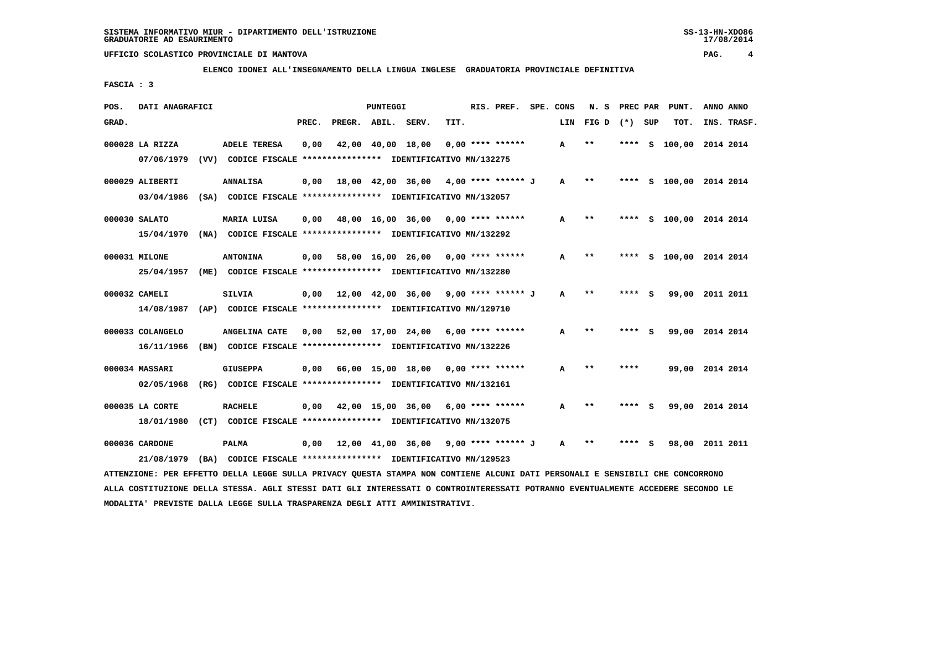**ELENCO IDONEI ALL'INSEGNAMENTO DELLA LINGUA INGLESE GRADUATORIA PROVINCIALE DEFINITIVA**

 **FASCIA : 3**

| POS.<br>DATI ANAGRAFICI        |                                                                                   |                                                                  | PUNTEGGI               | RIS. PREF.         | SPE. CONS    | N.S   | PREC PAR     | PUNT. | ANNO ANNO          |
|--------------------------------|-----------------------------------------------------------------------------------|------------------------------------------------------------------|------------------------|--------------------|--------------|-------|--------------|-------|--------------------|
| GRAD.                          |                                                                                   | PREC.                                                            | PREGR. ABIL. SERV.     | TIT.               | LIN          | FIG D | $(*)$<br>SUP | TOT.  | INS. TRASF.        |
| 000028 LA RIZZA<br>07/06/1979  | <b>ADELE TERESA</b><br>(VV)                                                       | 0,00<br>CODICE FISCALE **************** IDENTIFICATIVO MN/132275 | 42,00 40,00 18,00      | $0.00$ **** ****** | $\mathbf{A}$ | $* *$ | ****         |       | S 100,00 2014 2014 |
| 000029 ALIBERTI<br>03/04/1986  | <b>ANNALISA</b><br>(SA)                                                           | 0,00<br>CODICE FISCALE **************** IDENTIFICATIVO MN/132057 | 18,00 42,00 36,00      | 4,00 **** ****** J | A            | $* *$ | ****<br>s    |       | 100,00 2014 2014   |
| 000030 SALATO<br>15/04/1970    | MARIA LUISA<br>(NA)                                                               | 0.00<br>CODICE FISCALE **************** IDENTIFICATIVO MN/132292 | 48,00 16,00 36,00      | $0.00$ **** ****** | A            | $* *$ | ****         |       | S 100,00 2014 2014 |
| 000031 MILONE<br>25/04/1957    | <b>ANTONINA</b><br>(ME)                                                           | 0,00<br>CODICE FISCALE **************** IDENTIFICATIVO MN/132280 | 58,00 16,00 26,00      | $0.00$ **** ****** | A            | $**$  | ****         |       | S 100,00 2014 2014 |
| 000032 CAMELI                  | SILVIA<br>14/08/1987 (AP) CODICE FISCALE *************** IDENTIFICATIVO MN/129710 |                                                                  | 0,00 12,00 42,00 36,00 | 9,00 **** ****** J | A            | $* *$ | **** S       |       | 99,00 2011 2011    |
| 000033 COLANGELO<br>16/11/1966 | ANGELINA CATE<br>(BN)                                                             | 0.00<br>CODICE FISCALE **************** IDENTIFICATIVO MN/132226 | 52,00 17,00 24,00      | $6.00$ **** ****** | A            | $* *$ | ****<br>S.   |       | 99,00 2014 2014    |
| 000034 MASSARI<br>02/05/1968   | <b>GIUSEPPA</b><br>(RG)                                                           | 0.00<br>CODICE FISCALE **************** IDENTIFICATIVO MN/132161 | 66,00 15,00 18,00      | $0.00$ **** ****** | A            | $**$  | ****         |       | 99,00 2014 2014    |
| 000035 LA CORTE<br>18/01/1980  | <b>RACHELE</b><br>(CT)                                                            | 0.00<br>CODICE FISCALE **************** IDENTIFICATIVO MN/132075 | 42,00 15,00 36,00      | $6.00$ **** ****** | A            | $* *$ | S.<br>****   | 99,00 | 2014 2014          |
| 000036 CARDONE<br>21/08/1979   | PALMA<br>(BA) CODICE FISCALE **************** IDENTIFICATIVO MN/129523            | 0,00                                                             | 12,00 41,00 36,00      | 9,00 **** ****** J | A            | $* *$ |              | 98,00 | 2011 2011          |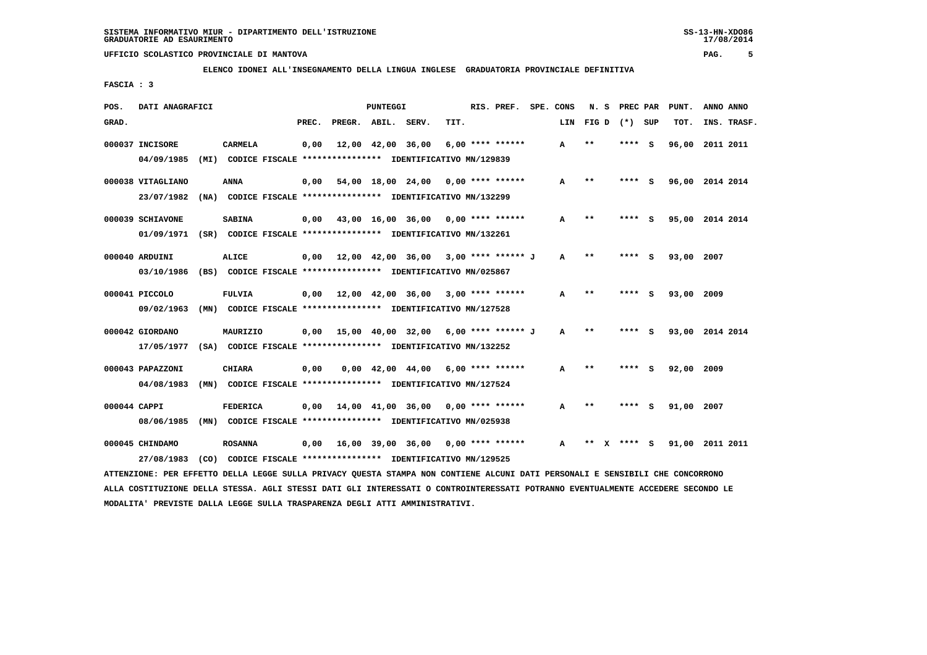**ELENCO IDONEI ALL'INSEGNAMENTO DELLA LINGUA INGLESE GRADUATORIA PROVINCIALE DEFINITIVA**

 **FASCIA : 3**

| POS.  | DATI ANAGRAFICI                                                                                                               |                 |       |                    | PUNTEGGI |                                                               |      | RIS. PREF.       | SPE. CONS    | N. S         | PREC PAR |     | PUNT.           | ANNO ANNO |             |
|-------|-------------------------------------------------------------------------------------------------------------------------------|-----------------|-------|--------------------|----------|---------------------------------------------------------------|------|------------------|--------------|--------------|----------|-----|-----------------|-----------|-------------|
| GRAD. |                                                                                                                               |                 | PREC. | PREGR. ABIL. SERV. |          |                                                               | TIT. |                  | LIN          | FIG D        | (*) SUP  |     | TOT.            |           | INS. TRASF. |
|       | 000037 INCISORE                                                                                                               | <b>CARMELA</b>  | 0,00  |                    |          | 12,00 42,00 36,00                                             |      | 6,00 **** ****** | A            | $* *$        | ****     | - 5 | 96,00 2011 2011 |           |             |
|       | 04/09/1985                                                                                                                    |                 |       |                    |          | (MI) CODICE FISCALE *************** IDENTIFICATIVO MN/129839  |      |                  |              |              |          |     |                 |           |             |
|       | 000038 VITAGLIANO                                                                                                             | <b>ANNA</b>     | 0.00  |                    |          | $54,00$ 18,00 24,00 0,00 **** ******                          |      |                  | A            | $* *$        | **** S   |     | 96,00 2014 2014 |           |             |
|       | 23/07/1982 (NA) CODICE FISCALE *************** IDENTIFICATIVO MN/132299                                                       |                 |       |                    |          |                                                               |      |                  |              |              |          |     |                 |           |             |
|       | 000039 SCHIAVONE                                                                                                              | <b>SABINA</b>   |       |                    |          | $0,00$ 43,00 16,00 36,00 0,00 **** ******                     |      |                  | А            | $* *$        | **** S   |     | 95,00 2014 2014 |           |             |
|       | 01/09/1971 (SR) CODICE FISCALE *************** IDENTIFICATIVO MN/132261                                                       |                 |       |                    |          |                                                               |      |                  |              |              |          |     |                 |           |             |
|       | 000040 ARDUINI                                                                                                                | <b>ALICE</b>    |       |                    |          | $0,00$ 12,00 42,00 36,00 3,00 **** ****** J                   |      |                  | $\mathbf{A}$ | $* *$        | **** S   |     | 93,00 2007      |           |             |
|       | 03/10/1986 (BS) CODICE FISCALE *************** IDENTIFICATIVO MN/025867                                                       |                 |       |                    |          |                                                               |      |                  |              |              |          |     |                 |           |             |
|       | 000041 PICCOLO                                                                                                                | <b>FULVIA</b>   |       |                    |          | $0,00$ 12,00 42,00 36,00 3,00 **** ******                     |      |                  | А            | $* *$        |          |     | 93,00 2009      |           |             |
|       | 09/02/1963                                                                                                                    |                 |       |                    |          | (MN) CODICE FISCALE **************** IDENTIFICATIVO MN/127528 |      |                  |              |              |          |     |                 |           |             |
|       | 000042 GIORDANO                                                                                                               | MAURIZIO        |       |                    |          | $0,00$ 15,00 40,00 32,00 6,00 **** ****** J                   |      |                  | A            | $***$        | **** S   |     | 93,00 2014 2014 |           |             |
|       | 17/05/1977 (SA) CODICE FISCALE *************** IDENTIFICATIVO MN/132252                                                       |                 |       |                    |          |                                                               |      |                  |              |              |          |     |                 |           |             |
|       | 000043 PAPAZZONI                                                                                                              | <b>CHIARA</b>   | 0,00  |                    |          | $0,00$ 42,00 44,00 6,00 **** ******                           |      |                  | A            | $* *$        | **** S   |     | 92,00 2009      |           |             |
|       | 04/08/1983                                                                                                                    |                 |       |                    |          | (MN) CODICE FISCALE **************** IDENTIFICATIVO MN/127524 |      |                  |              |              |          |     |                 |           |             |
|       | 000044 CAPPI                                                                                                                  | <b>FEDERICA</b> |       |                    |          | $0,00$ 14,00 41,00 36,00 0,00 **** ******                     |      |                  | A            | $\star\star$ | **** S   |     | 91,00 2007      |           |             |
|       | 08/06/1985                                                                                                                    |                 |       |                    |          | (MN) CODICE FISCALE **************** IDENTIFICATIVO MN/025938 |      |                  |              |              |          |     |                 |           |             |
|       |                                                                                                                               |                 |       |                    |          |                                                               |      |                  |              |              |          |     |                 |           |             |
|       | 000045 CHINDAMO                                                                                                               | <b>ROSANNA</b>  |       |                    |          | 0,00 16,00 39,00 36,00                                        |      | 0,00 **** ****** | $\mathbf{A}$ | **           | $***$ S  |     | 91,00 2011 2011 |           |             |
|       | 27/08/1983                                                                                                                    |                 |       |                    |          | (CO) CODICE FISCALE **************** IDENTIFICATIVO MN/129525 |      |                  |              |              |          |     |                 |           |             |
|       | ATTENZIONE: PER EFFETTO DELLA LEGGE SULLA PRIVACY QUESTA STAMPA NON CONTIENE ALCUNI DATI PERSONALI E SENSIBILI CHE CONCORRONO |                 |       |                    |          |                                                               |      |                  |              |              |          |     |                 |           |             |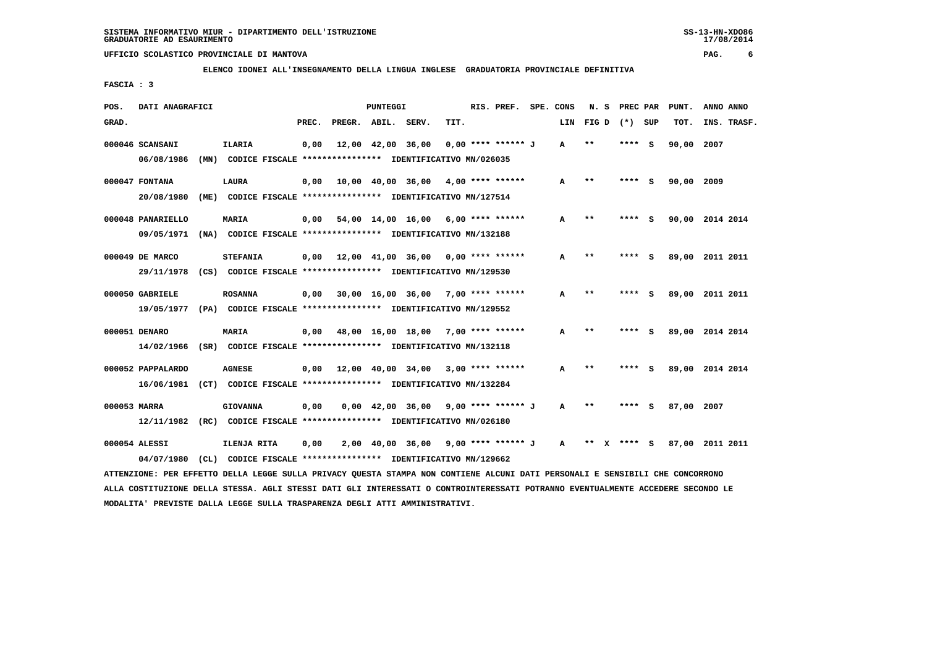**ELENCO IDONEI ALL'INSEGNAMENTO DELLA LINGUA INGLESE GRADUATORIA PROVINCIALE DEFINITIVA**

 **FASCIA : 3**

| POS.  | DATI ANAGRAFICI                                                                                                               |     |                                                               |       |                    | PUNTEGGI |                                            |      | RIS. PREF. SPE. CONS |     | N. S  | PREC PAR    |     | PUNT.           | ANNO ANNO |             |
|-------|-------------------------------------------------------------------------------------------------------------------------------|-----|---------------------------------------------------------------|-------|--------------------|----------|--------------------------------------------|------|----------------------|-----|-------|-------------|-----|-----------------|-----------|-------------|
| GRAD. |                                                                                                                               |     |                                                               | PREC. | PREGR. ABIL. SERV. |          |                                            | TIT. |                      | LIN | FIG D | (*) SUP     |     | TOT.            |           | INS. TRASF. |
|       | 000046 SCANSANI                                                                                                               |     | <b>ILARIA</b>                                                 | 0,00  |                    |          | 12,00 42,00 36,00                          |      | $0.00$ **** ****** J | A   | $* *$ | ****        | - S | 90,00           | 2007      |             |
|       | 06/08/1986                                                                                                                    |     | (MN) CODICE FISCALE **************** IDENTIFICATIVO MN/026035 |       |                    |          |                                            |      |                      |     |       |             |     |                 |           |             |
|       | 000047 FONTANA                                                                                                                |     | <b>LAURA</b>                                                  | 0,00  |                    |          | $10,00$ $40,00$ $36,00$ $4,00$ **** ****** |      |                      | A   | $***$ | ****        | - S | 90,00           | 2009      |             |
|       | 20/08/1980                                                                                                                    |     | (ME) CODICE FISCALE **************** IDENTIFICATIVO MN/127514 |       |                    |          |                                            |      |                      |     |       |             |     |                 |           |             |
|       | 000048 PANARIELLO                                                                                                             |     | <b>MARIA</b>                                                  |       |                    |          | $0,00$ 54,00 14,00 16,00 6,00 **** ******  |      |                      | A   | $* *$ | **** S      |     | 90,00 2014 2014 |           |             |
|       | 09/05/1971 (NA) CODICE FISCALE *************** IDENTIFICATIVO MN/132188                                                       |     |                                                               |       |                    |          |                                            |      |                      |     |       |             |     |                 |           |             |
|       | 000049 DE MARCO                                                                                                               |     | <b>STEFANIA</b>                                               | 0,00  |                    |          | 12,00 41,00 36,00 0,00 **** ******         |      |                      | A   | $***$ | ****        | ్   | 89,00 2011 2011 |           |             |
|       | 29/11/1978                                                                                                                    |     | (CS) CODICE FISCALE **************** IDENTIFICATIVO MN/129530 |       |                    |          |                                            |      |                      |     |       |             |     |                 |           |             |
|       | 000050 GABRIELE                                                                                                               |     | <b>ROSANNA</b>                                                |       |                    |          | $0,00$ 30,00 16,00 36,00 7,00 **** ******  |      |                      | A   | $* *$ | ****        | s   | 89,00 2011 2011 |           |             |
|       | 19/05/1977 (PA) CODICE FISCALE *************** IDENTIFICATIVO MN/129552                                                       |     |                                                               |       |                    |          |                                            |      |                      |     |       |             |     |                 |           |             |
|       | 000051 DENARO                                                                                                                 |     | <b>MARIA</b>                                                  |       |                    |          | $0.00$ 48.00 16.00 18.00 7.00 **** ******  |      |                      | A   | $**$  | **** S      |     | 89,00 2014 2014 |           |             |
|       | 14/02/1966 (SR) CODICE FISCALE *************** IDENTIFICATIVO MN/132118                                                       |     |                                                               |       |                    |          |                                            |      |                      |     |       |             |     |                 |           |             |
|       | 000052 PAPPALARDO                                                                                                             |     | <b>AGNESE</b>                                                 | 0,00  |                    |          | $12,00$ $40,00$ $34,00$ $3,00$ **** ****** |      |                      | A   | $* *$ | **** S      |     | 89,00 2014 2014 |           |             |
|       | 16/06/1981 (CT) CODICE FISCALE *************** IDENTIFICATIVO MN/132284                                                       |     |                                                               |       |                    |          |                                            |      |                      |     |       |             |     |                 |           |             |
|       | 000053 MARRA                                                                                                                  |     | <b>GIOVANNA</b>                                               | 0,00  |                    |          | $0,00$ 42,00 36,00 9,00 **** ****** J      |      |                      | A   | $* *$ | **** S      |     | 87,00 2007      |           |             |
|       | 12/11/1982 (RC) CODICE FISCALE *************** IDENTIFICATIVO MN/026180                                                       |     |                                                               |       |                    |          |                                            |      |                      |     |       |             |     |                 |           |             |
|       | 000054 ALESSI                                                                                                                 |     | ILENJA RITA                                                   | 0.00  |                    |          | $2.00$ 40.00 36.00 9.00 **** ****** J A    |      |                      |     |       | ** x **** S |     | 87,00 2011 2011 |           |             |
|       | 04/07/1980                                                                                                                    | CL) | CODICE FISCALE **************** IDENTIFICATIVO MN/129662      |       |                    |          |                                            |      |                      |     |       |             |     |                 |           |             |
|       | ATTENZIONE: PER EFFETTO DELLA LEGGE SULLA PRIVACY OUESTA STAMPA NON CONTIENE ALCUNI DATI PERSONALI E SENSIBILI CHE CONCORRONO |     |                                                               |       |                    |          |                                            |      |                      |     |       |             |     |                 |           |             |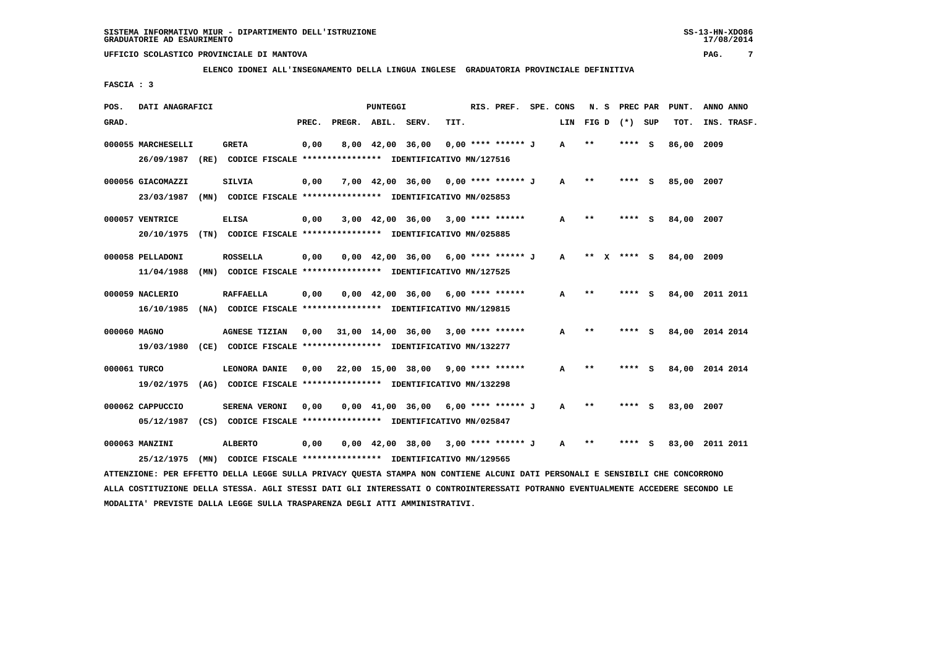**ELENCO IDONEI ALL'INSEGNAMENTO DELLA LINGUA INGLESE GRADUATORIA PROVINCIALE DEFINITIVA**

 **FASCIA : 3**

| POS.<br>DATI ANAGRAFICI |                                                                                                                               | PUNTEGGI                                  |                                                                       | RIS. PREF.         | SPE. CONS    | N.S     | PREC PAR    | PUNT.      | ANNO ANNO       |
|-------------------------|-------------------------------------------------------------------------------------------------------------------------------|-------------------------------------------|-----------------------------------------------------------------------|--------------------|--------------|---------|-------------|------------|-----------------|
| GRAD.                   |                                                                                                                               | PREC.<br>PREGR. ABIL. SERV.               | TIT.                                                                  |                    | LIN          | FIG D   | (*) SUP     | TOT.       | INS. TRASF.     |
| 000055 MARCHESELLI      | <b>GRETA</b>                                                                                                                  | 0,00<br>8,00 42,00 36,00                  |                                                                       | 0,00 **** ****** J | A            | $* *$   | ****<br>- s | 86,00 2009 |                 |
| 26/09/1987 (RE)         | CODICE FISCALE **************** IDENTIFICATIVO MN/127516                                                                      |                                           |                                                                       |                    |              |         |             |            |                 |
| 000056 GIACOMAZZI       | <b>SILVIA</b>                                                                                                                 | 0,00                                      | 7,00 42,00 36,00 0,00 **** ****** J                                   |                    | A            | $* *$   | - S<br>**** | 85,00 2007 |                 |
| 23/03/1987              | (MN) CODICE FISCALE *************** IDENTIFICATIVO MN/025853                                                                  |                                           |                                                                       |                    |              |         |             |            |                 |
| 000057 VENTRICE         | <b>ELISA</b>                                                                                                                  | 0,00                                      | $3,00$ 42,00 36,00 3,00 **** ******                                   |                    | A            | $* *$   | **** S      | 84,00 2007 |                 |
|                         | 20/10/1975 (TN) CODICE FISCALE *************** IDENTIFICATIVO MN/025885                                                       |                                           |                                                                       |                    |              |         |             |            |                 |
| 000058 PELLADONI        | <b>ROSSELLA</b>                                                                                                               | 0,00                                      | $0,00$ 42,00 36,00 6,00 **** ****** J                                 |                    | A            | $***$ X | **** S      | 84,00 2009 |                 |
| 11/04/1988              | (MN) CODICE FISCALE *************** IDENTIFICATIVO MN/127525                                                                  |                                           |                                                                       |                    |              |         |             |            |                 |
| 000059 NACLERIO         | <b>RAFFAELLA</b>                                                                                                              | 0,00                                      | $0.00 \quad 42.00 \quad 36.00 \quad 6.00 \quad *** \quad ***$         |                    | A            | $***$   | ****<br>- S |            | 84,00 2011 2011 |
| 16/10/1985              | (NA) CODICE FISCALE **************** IDENTIFICATIVO MN/129815                                                                 |                                           |                                                                       |                    |              |         |             |            |                 |
|                         |                                                                                                                               |                                           |                                                                       |                    |              |         |             |            |                 |
| 000060 MAGNO            | <b>AGNESE TIZIAN</b>                                                                                                          | $0.00$ 31.00 14.00 36.00 3.00 **** ****** |                                                                       |                    | A            | $**$    | **** S      |            | 84,00 2014 2014 |
| 19/03/1980              | (CE) CODICE FISCALE *************** IDENTIFICATIVO MN/132277                                                                  |                                           |                                                                       |                    |              |         |             |            |                 |
| 000061 TURCO            | LEONORA DANIE                                                                                                                 | $0,00$ 22,00 15,00 38,00 9,00 **** ****** |                                                                       |                    | A            | $* *$   | **** S      |            | 84,00 2014 2014 |
|                         | 19/02/1975 (AG) CODICE FISCALE *************** IDENTIFICATIVO MN/132298                                                       |                                           |                                                                       |                    |              |         |             |            |                 |
| 000062 CAPPUCCIO        | SERENA VERONI                                                                                                                 | 0.00                                      | $0.00 \quad 41.00 \quad 36.00 \quad 6.00 \quad *** \quad *** \quad J$ |                    | $\mathbf{A}$ | $**$    | **** S      | 83,00 2007 |                 |
|                         | 05/12/1987 (CS) CODICE FISCALE *************** IDENTIFICATIVO MN/025847                                                       |                                           |                                                                       |                    |              |         |             |            |                 |
| 000063 MANZINI          | <b>ALBERTO</b>                                                                                                                | 0,00                                      | $0.00 \quad 42.00 \quad 38.00 \quad 3.00 \quad *** \quad *** \quad J$ |                    | $\mathbf{A}$ | $***$   | ****<br>- S |            | 83,00 2011 2011 |
| 25/12/1975              | (MN) CODICE FISCALE **************** IDENTIFICATIVO MN/129565                                                                 |                                           |                                                                       |                    |              |         |             |            |                 |
|                         | ATTENZIONE: PER EFFETTO DELLA LEGGE SULLA PRIVACY QUESTA STAMPA NON CONTIENE ALCUNI DATI PERSONALI E SENSIBILI CHE CONCORRONO |                                           |                                                                       |                    |              |         |             |            |                 |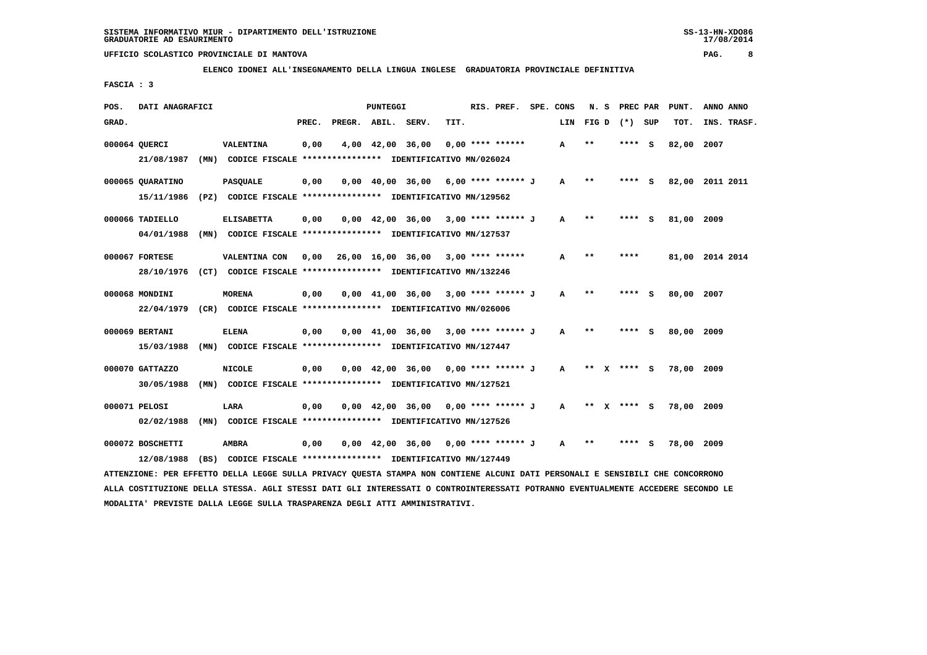**ELENCO IDONEI ALL'INSEGNAMENTO DELLA LINGUA INGLESE GRADUATORIA PROVINCIALE DEFINITIVA**

 **FASCIA : 3**

| POS.  | DATI ANAGRAFICI                                                         |      |                   |       |                    | PUNTEGGI |                                                                       |      | RIS. PREF.         | SPE. CONS    | N.S       |             | PREC PAR | PUNT.      | ANNO ANNO       |  |
|-------|-------------------------------------------------------------------------|------|-------------------|-------|--------------------|----------|-----------------------------------------------------------------------|------|--------------------|--------------|-----------|-------------|----------|------------|-----------------|--|
| GRAD. |                                                                         |      |                   | PREC. | PREGR. ABIL. SERV. |          |                                                                       | TIT. |                    |              | LIN FIG D |             | (*) SUP  | TOT.       | INS. TRASF.     |  |
|       | 000064 QUERCI                                                           |      | <b>VALENTINA</b>  | 0,00  |                    |          | 4,00 42,00 36,00                                                      |      | $0.00$ **** ****** | A            | $* *$     |             | **** S   | 82,00      | 2007            |  |
|       |                                                                         |      |                   |       |                    |          |                                                                       |      |                    |              |           |             |          |            |                 |  |
|       | 21/08/1987                                                              |      |                   |       |                    |          | (MN) CODICE FISCALE **************** IDENTIFICATIVO MN/026024         |      |                    |              |           |             |          |            |                 |  |
|       | 000065 QUARATINO                                                        |      | <b>PASQUALE</b>   | 0,00  |                    |          | $0,00$ 40,00 36,00 6,00 **** ****** J                                 |      |                    | A            | $* *$     |             | **** S   | 82,00      | 2011 2011       |  |
|       | 15/11/1986                                                              |      |                   |       |                    |          | (PZ) CODICE FISCALE **************** IDENTIFICATIVO MN/129562         |      |                    |              |           |             |          |            |                 |  |
|       | 000066 TADIELLO                                                         |      | <b>ELISABETTA</b> | 0,00  |                    |          | $0,00$ 42,00 36,00 3,00 **** ****** J                                 |      |                    | $\mathbf{A}$ | $* *$     |             | **** S   | 81,00 2009 |                 |  |
|       |                                                                         |      |                   |       |                    |          |                                                                       |      |                    |              |           |             |          |            |                 |  |
|       | 04/01/1988                                                              |      |                   |       |                    |          | (MN) CODICE FISCALE *************** IDENTIFICATIVO MN/127537          |      |                    |              |           |             |          |            |                 |  |
|       | 000067 FORTESE                                                          |      | VALENTINA CON     | 0,00  |                    |          | 26,00 16,00 36,00 3,00 **** ******                                    |      |                    | $\mathbf{A}$ | $* *$     | ****        |          |            | 81,00 2014 2014 |  |
|       | 28/10/1976 (CT) CODICE FISCALE *************** IDENTIFICATIVO MN/132246 |      |                   |       |                    |          |                                                                       |      |                    |              |           |             |          |            |                 |  |
|       | 000068 MONDINI                                                          |      | <b>MORENA</b>     | 0,00  |                    |          | $0.00$ 41.00 36.00 3.00 **** ****** J                                 |      |                    | A            | $* *$     |             | **** S   | 80,00 2007 |                 |  |
|       | 22/04/1979                                                              |      |                   |       |                    |          | (CR) CODICE FISCALE **************** IDENTIFICATIVO MN/026006         |      |                    |              |           |             |          |            |                 |  |
|       |                                                                         |      |                   |       |                    |          |                                                                       |      |                    |              |           |             |          |            |                 |  |
|       | 000069 BERTANI                                                          |      | <b>ELENA</b>      | 0.00  |                    |          | $0,00$ 41,00 36,00 3,00 **** ****** J                                 |      |                    | A            | $* *$     |             | **** S   | 80,00 2009 |                 |  |
|       | 15/03/1988                                                              |      |                   |       |                    |          | (MN) CODICE FISCALE **************** IDENTIFICATIVO MN/127447         |      |                    |              |           |             |          |            |                 |  |
|       | 000070 GATTAZZO                                                         |      | NICOLE            | 0,00  |                    |          | $0.00 \quad 42.00 \quad 36.00 \quad 0.00 \quad *** \quad *** \quad J$ |      |                    | $\mathbf{A}$ |           | ** x **** S |          | 78,00      | 2009            |  |
|       | 30/05/1988                                                              |      |                   |       |                    |          | (MN) CODICE FISCALE **************** IDENTIFICATIVO MN/127521         |      |                    |              |           |             |          |            |                 |  |
|       |                                                                         |      |                   |       |                    |          |                                                                       |      |                    |              |           |             |          |            |                 |  |
|       | 000071 PELOSI                                                           |      | LARA              | 0.00  |                    |          | $0.00 \quad 42.00 \quad 36.00 \quad 0.00 \quad *** \quad *** \quad J$ |      |                    | $\mathbf{A}$ | ** X      | **** S      |          | 78,00 2009 |                 |  |
|       | 02/02/1988                                                              | (MN) |                   |       |                    |          | CODICE FISCALE **************** IDENTIFICATIVO MN/127526              |      |                    |              |           |             |          |            |                 |  |
|       | 000072 BOSCHETTI                                                        |      | <b>AMBRA</b>      | 0,00  |                    |          | $0,00$ 42,00 36,00 0,00 **** ****** J                                 |      |                    | A            | $* *$     | ****        | s        | 78,00 2009 |                 |  |
|       | 12/08/1988                                                              |      |                   |       |                    |          | (BS) CODICE FISCALE **************** IDENTIFICATIVO MN/127449         |      |                    |              |           |             |          |            |                 |  |
|       |                                                                         |      |                   |       |                    |          |                                                                       |      |                    |              |           |             |          |            |                 |  |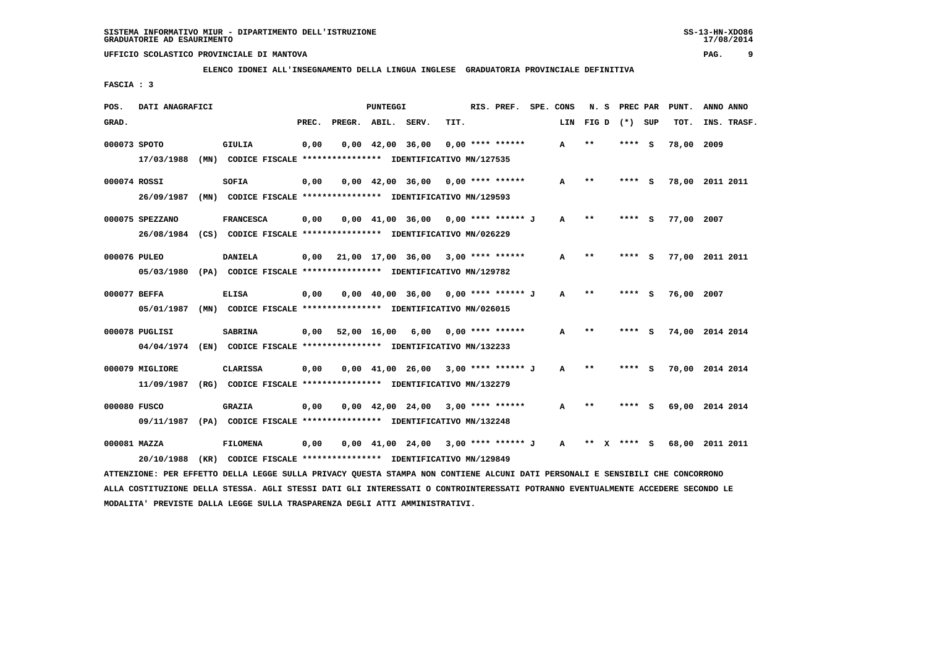**ELENCO IDONEI ALL'INSEGNAMENTO DELLA LINGUA INGLESE GRADUATORIA PROVINCIALE DEFINITIVA**

 **FASCIA : 3**

| POS.  | DATI ANAGRAFICI                                                                                                               |                                                               |       |                    | PUNTEGGI |                                                                               |      | RIS. PREF. SPE. CONS |              | N.S   |              | PREC PAR | PUNT.           | ANNO ANNO   |
|-------|-------------------------------------------------------------------------------------------------------------------------------|---------------------------------------------------------------|-------|--------------------|----------|-------------------------------------------------------------------------------|------|----------------------|--------------|-------|--------------|----------|-----------------|-------------|
| GRAD. |                                                                                                                               |                                                               | PREC. | PREGR. ABIL. SERV. |          |                                                                               | TIT. |                      | LIN          |       | FIGD (*) SUP |          | TOT.            | INS. TRASF. |
|       | 000073 SPOTO                                                                                                                  | GIULIA                                                        | 0,00  |                    |          | $0,00$ 42,00 36,00                                                            |      | $0,00$ **** ******   | A            | $***$ |              | **** S   | 78,00 2009      |             |
|       | 17/03/1988                                                                                                                    | (MN) CODICE FISCALE *************** IDENTIFICATIVO MN/127535  |       |                    |          |                                                                               |      |                      |              |       |              |          |                 |             |
|       | 000074 ROSSI                                                                                                                  | SOFIA                                                         | 0,00  |                    |          | $0,00$ 42,00 36,00 0,00 **** ******                                           |      |                      | A            | $* *$ | ****         | s        | 78,00 2011 2011 |             |
|       | 26/09/1987                                                                                                                    | (MN) CODICE FISCALE **************** IDENTIFICATIVO MN/129593 |       |                    |          |                                                                               |      |                      |              |       |              |          |                 |             |
|       | 000075 SPEZZANO                                                                                                               | <b>FRANCESCA</b>                                              | 0,00  |                    |          | $0,00$ 41,00 36,00 0,00 **** ****** J                                         |      |                      | $\mathbf{A}$ | $***$ |              | **** S   | 77,00 2007      |             |
|       | 26/08/1984 (CS) CODICE FISCALE *************** IDENTIFICATIVO MN/026229                                                       |                                                               |       |                    |          |                                                                               |      |                      |              |       |              |          |                 |             |
|       | 000076 PULEO                                                                                                                  | <b>DANIELA</b>                                                | 0,00  |                    |          | $21,00$ 17,00 36,00 3,00 **** ******                                          |      |                      | A            | $***$ |              | $***$ S  | 77,00 2011 2011 |             |
|       | 05/03/1980 (PA) CODICE FISCALE *************** IDENTIFICATIVO MN/129782                                                       |                                                               |       |                    |          |                                                                               |      |                      |              |       |              |          |                 |             |
|       | 000077 BEFFA                                                                                                                  | <b>ELISA</b>                                                  | 0,00  |                    |          | $0,00$ 40,00 36,00 0,00 **** ****** J                                         |      |                      | A            | $* *$ | ****         | - S      | 76,00 2007      |             |
|       | 05/01/1987                                                                                                                    |                                                               |       |                    |          |                                                                               |      |                      |              |       |              |          |                 |             |
|       | 000078 PUGLISI                                                                                                                | <b>SABRINA</b>                                                |       | 0,00 52,00 16,00   |          | 6,00                                                                          |      | 0,00 **** ******     | A            | $***$ |              | **** S   | 74,00 2014 2014 |             |
|       | 04/04/1974 (EN) CODICE FISCALE *************** IDENTIFICATIVO MN/132233                                                       |                                                               |       |                    |          |                                                                               |      |                      |              |       |              |          |                 |             |
|       | 000079 MIGLIORE                                                                                                               | <b>CLARISSA</b>                                               | 0,00  |                    |          | $0.00 \quad 41.00 \quad 26.00 \quad 3.00 \quad *** \quad *** \quad J$         |      |                      | A            | $* *$ | ****         | - S      | 70,00 2014 2014 |             |
|       | 11/09/1987                                                                                                                    | (RG) CODICE FISCALE **************** IDENTIFICATIVO MN/132279 |       |                    |          |                                                                               |      |                      |              |       |              |          |                 |             |
|       | 000080 FUSCO                                                                                                                  | <b>GRAZIA</b>                                                 | 0,00  |                    |          | $0,00$ 42,00 24,00 3,00 **** ******                                           |      |                      | A            | $* *$ |              | $***$ S  | 69,00 2014 2014 |             |
|       | 09/11/1987 (PA) CODICE FISCALE *************** IDENTIFICATIVO MN/132248                                                       |                                                               |       |                    |          |                                                                               |      |                      |              |       |              |          |                 |             |
|       | 000081 MAZZA                                                                                                                  | FILOMENA                                                      | 0,00  |                    |          | $0.00 \quad 41.00 \quad 24.00 \quad 3.00 \quad *** \quad *** \quad J \quad A$ |      |                      |              |       | ** x **** S  |          | 68,00 2011 2011 |             |
|       | 20/10/1988                                                                                                                    | (KR) CODICE FISCALE **************** IDENTIFICATIVO MN/129849 |       |                    |          |                                                                               |      |                      |              |       |              |          |                 |             |
|       | ATTENZIONE: PER EFFETTO DELLA LEGGE SULLA PRIVACY QUESTA STAMPA NON CONTIENE ALCUNI DATI PERSONALI E SENSIBILI CHE CONCORRONO |                                                               |       |                    |          |                                                                               |      |                      |              |       |              |          |                 |             |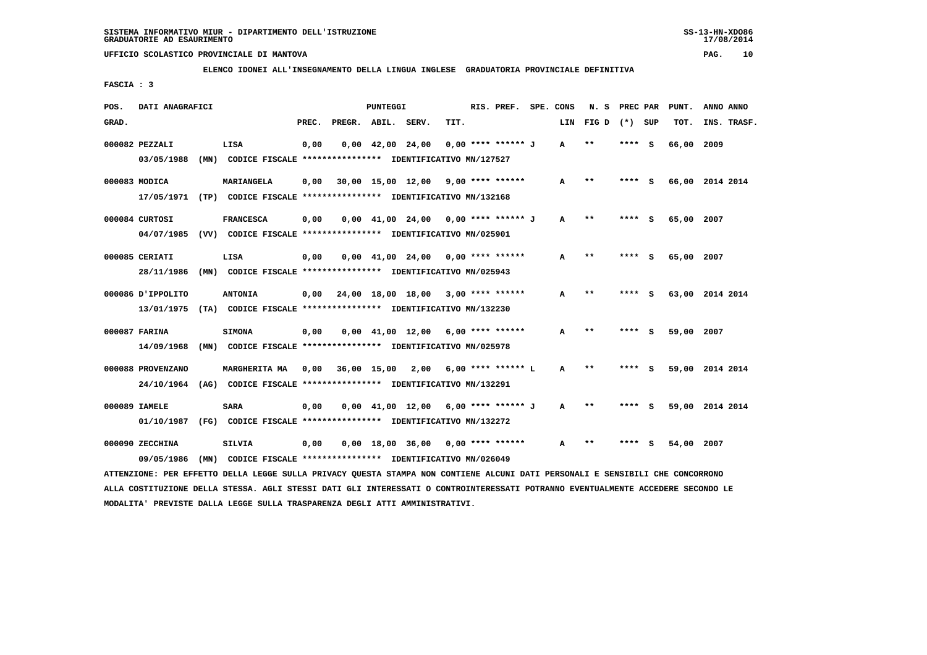**ELENCO IDONEI ALL'INSEGNAMENTO DELLA LINGUA INGLESE GRADUATORIA PROVINCIALE DEFINITIVA**

 **FASCIA : 3**

| POS.  | DATI ANAGRAFICI   |                                                                                                                               |       |                    | <b>PUNTEGGI</b>                |                                            | RIS. PREF.         | SPE. CONS    | N. S             | PREC PAR |     | PUNT.      | ANNO ANNO       |
|-------|-------------------|-------------------------------------------------------------------------------------------------------------------------------|-------|--------------------|--------------------------------|--------------------------------------------|--------------------|--------------|------------------|----------|-----|------------|-----------------|
| GRAD. |                   |                                                                                                                               | PREC. | PREGR. ABIL. SERV. |                                | TIT.                                       |                    |              | LIN FIGD (*) SUP |          |     | TOT.       | INS. TRASF.     |
|       | 000082 PEZZALI    | LISA                                                                                                                          | 0,00  |                    | $0,00 \quad 42,00 \quad 24,00$ |                                            | 0,00 **** ****** J | A            | $**$             | ****     | - S | 66,00      | 2009            |
|       | 03/05/1988        | (MN) CODICE FISCALE **************** IDENTIFICATIVO MN/127527                                                                 |       |                    |                                |                                            |                    |              |                  |          |     |            |                 |
|       | 000083 MODICA     | <b>MARIANGELA</b>                                                                                                             | 0,00  |                    |                                | $30,00$ 15,00 12,00 9,00 **** ******       |                    | A            | $* *$            | **** S   |     |            | 66,00 2014 2014 |
|       |                   | 17/05/1971 (TP) CODICE FISCALE **************** IDENTIFICATIVO MN/132168                                                      |       |                    |                                |                                            |                    |              |                  |          |     |            |                 |
|       | 000084 CURTOSI    | <b>FRANCESCA</b>                                                                                                              | 0,00  |                    |                                | $0,00$ 41,00 24,00 0,00 **** ****** J      |                    | A            | $***$            | **** S   |     | 65,00 2007 |                 |
|       |                   | 04/07/1985 (VV) CODICE FISCALE *************** IDENTIFICATIVO MN/025901                                                       |       |                    |                                |                                            |                    |              |                  |          |     |            |                 |
|       | 000085 CERIATI    | LISA                                                                                                                          | 0,00  |                    |                                | $0,00$ 41,00 24,00 0,00 **** ******        |                    | A            | **               | **** S   |     | 65,00 2007 |                 |
|       |                   | 28/11/1986 (MN) CODICE FISCALE *************** IDENTIFICATIVO MN/025943                                                       |       |                    |                                |                                            |                    |              |                  |          |     |            |                 |
|       |                   |                                                                                                                               |       |                    |                                |                                            |                    |              |                  |          |     |            |                 |
|       | 000086 J'IPPOLITO | <b>ANTONIA</b>                                                                                                                | 0,00  |                    |                                | $24,00$ 18,00 18,00 3,00 **** ******       |                    | A            | $***$            | ****     | - S |            | 63,00 2014 2014 |
|       |                   | 13/01/1975 (TA) CODICE FISCALE **************** IDENTIFICATIVO MN/132230                                                      |       |                    |                                |                                            |                    |              |                  |          |     |            |                 |
|       | 000087 FARINA     | <b>SIMONA</b>                                                                                                                 | 0,00  |                    |                                | $0,00$ 41,00 12,00 6,00 **** ******        |                    | A            | $***$            | **** S   |     | 59,00 2007 |                 |
|       |                   | 14/09/1968 (MN) CODICE FISCALE *************** IDENTIFICATIVO MN/025978                                                       |       |                    |                                |                                            |                    |              |                  |          |     |            |                 |
|       | 000088 PROVENZANO | <b>MARGHERITA MA</b>                                                                                                          |       |                    |                                | $0,00$ 36,00 15,00 2,00 6,00 **** ****** L |                    | $\mathbf{A}$ | $\star\star$     | **** S   |     |            | 59,00 2014 2014 |
|       |                   | 24/10/1964 (AG) CODICE FISCALE *************** IDENTIFICATIVO MN/132291                                                       |       |                    |                                |                                            |                    |              |                  |          |     |            |                 |
|       | 000089 IAMELE     | <b>SARA</b>                                                                                                                   | 0,00  |                    |                                | $0,00$ 41,00 12,00 6,00 **** ****** J      |                    | A            | $***$            | **** S   |     |            | 59,00 2014 2014 |
|       | 01/10/1987        | (FG) CODICE FISCALE **************** IDENTIFICATIVO MN/132272                                                                 |       |                    |                                |                                            |                    |              |                  |          |     |            |                 |
|       |                   |                                                                                                                               |       |                    |                                |                                            |                    |              |                  |          |     |            |                 |
|       | 000090 ZECCHINA   | SILVIA                                                                                                                        | 0,00  |                    |                                | $0,00$ 18,00 36,00 0,00 **** ******        |                    | A            | $***$            | ****     | - S | 54,00      | 2007            |
|       | 09/05/1986        | (MN) CODICE FISCALE *************** IDENTIFICATIVO MN/026049                                                                  |       |                    |                                |                                            |                    |              |                  |          |     |            |                 |
|       |                   | ATTENZIONE: PER EFFETTO DELLA LEGGE SULLA PRIVACY QUESTA STAMPA NON CONTIENE ALCUNI DATI PERSONALI E SENSIBILI CHE CONCORRONO |       |                    |                                |                                            |                    |              |                  |          |     |            |                 |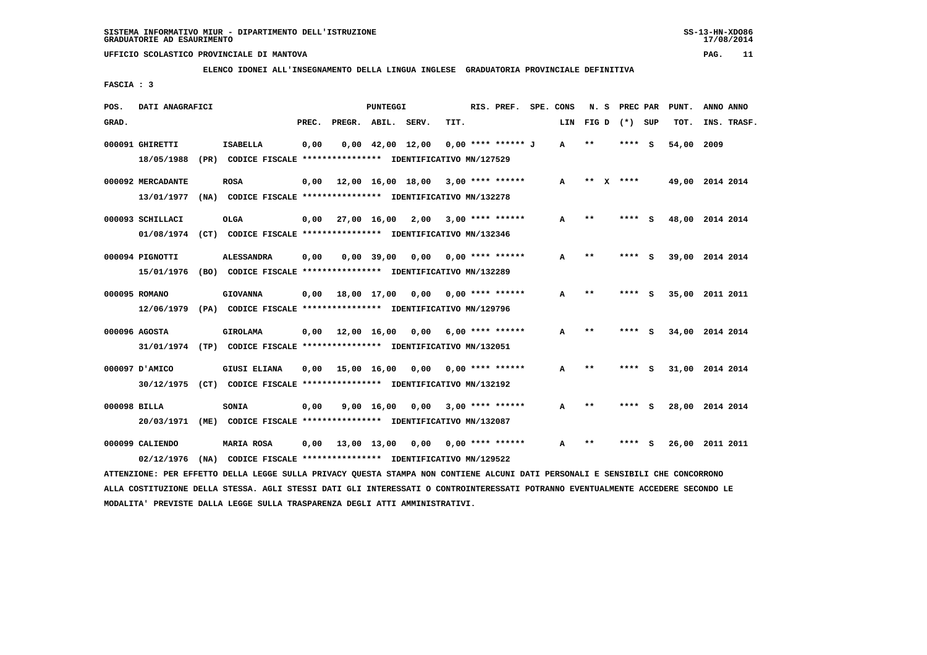**ELENCO IDONEI ALL'INSEGNAMENTO DELLA LINGUA INGLESE GRADUATORIA PROVINCIALE DEFINITIVA**

 **FASCIA : 3**

| POS.         | DATI ANAGRAFICI                 |      |                                                                                            |       |                    | <b>PUNTEGGI</b>    |                                |      | RIS. PREF.           | SPE. CONS | N. S  |   | PREC PAR |     | PUNT.           |           | ANNO ANNO   |
|--------------|---------------------------------|------|--------------------------------------------------------------------------------------------|-------|--------------------|--------------------|--------------------------------|------|----------------------|-----------|-------|---|----------|-----|-----------------|-----------|-------------|
| GRAD.        |                                 |      |                                                                                            | PREC. | PREGR. ABIL. SERV. |                    |                                | TIT. |                      | LIN       | FIG D |   | $(*)$    | SUP | TOT.            |           | INS. TRASF. |
|              | 000091 GHIRETTI<br>18/05/1988   | (PR) | <b>ISABELLA</b><br>CODICE FISCALE **************** IDENTIFICATIVO MN/127529                | 0,00  |                    |                    | $0.00 \quad 42.00 \quad 12.00$ |      | $0.00$ **** ****** J | A         | $* *$ |   | ****     | - S | 54,00           | 2009      |             |
|              | 000092 MERCADANTE<br>13/01/1977 | (NA) | <b>ROSA</b><br>CODICE FISCALE **************** IDENTIFICATIVO MN/132278                    | 0,00  | 12,00 16,00 18,00  |                    |                                |      | $3,00$ **** ******   | A         | **    | x | ****     |     | 49,00 2014 2014 |           |             |
|              | 000093 SCHILLACI<br>01/08/1974  | (CT) | <b>OLGA</b><br>CODICE FISCALE **************** IDENTIFICATIVO MN/132346                    | 0.00  |                    | 27,00 16,00        | 2,00                           |      | $3,00$ **** ******   | A         | $* *$ |   |          | s   | 48,00 2014 2014 |           |             |
|              | 000094 PIGNOTTI<br>15/01/1976   | (BO) | <b>ALESSANDRA</b><br>CODICE FISCALE **************** IDENTIFICATIVO MN/132289              | 0,00  |                    | $0,00$ 39,00       | 0.00                           |      | $0.00$ **** ******   | A         | $* *$ |   |          | s   | 39,00           | 2014 2014 |             |
|              | 000095 ROMANO<br>12/06/1979     | (PA) | <b>GIOVANNA</b><br>CODICE FISCALE **************** IDENTIFICATIVO MN/129796                | 0,00  | 18,00 17,00        |                    | 0,00                           |      | $0.00$ **** ******   | A         | $* *$ |   | ****     | - 5 | 35,00           | 2011 2011 |             |
|              | 000096 AGOSTA                   |      | <b>GIROLAMA</b><br>31/01/1974 (TP) CODICE FISCALE *************** IDENTIFICATIVO MN/132051 | 0,00  | 12,00 16,00        |                    | 0.00                           |      | $6,00$ **** ******   | A         | $* *$ |   | ****     | - S | 34,00 2014 2014 |           |             |
|              | 000097 D'AMICO<br>30/12/1975    | (CT) | <b>GIUSI ELIANA</b><br>CODICE FISCALE **************** IDENTIFICATIVO MN/132192            | 0,00  |                    | 15,00 16,00        | 0,00                           |      | $0.00$ **** ******   | A         | $* *$ |   | ****     | - S | 31,00 2014 2014 |           |             |
| 000098 BILLA | 20/03/1971                      | (ME) | <b>SONIA</b><br>CODICE FISCALE **************** IDENTIFICATIVO MN/132087                   | 0,00  |                    | $9,00 \quad 16,00$ | 0.00                           |      | $3.00*********$      | A         | $* *$ |   | ****     | s   | 28,00 2014 2014 |           |             |
|              | 000099 CALIENDO<br>02/12/1976   | (NA) | <b>MARIA ROSA</b><br>CODICE FISCALE **************** IDENTIFICATIVO MN/129522              | 0,00  | 13,00 13,00        |                    | 0,00                           |      | $0.00$ **** ******   | A         | $* *$ |   | ****     | s   | 26,00           |           | 2011 2011   |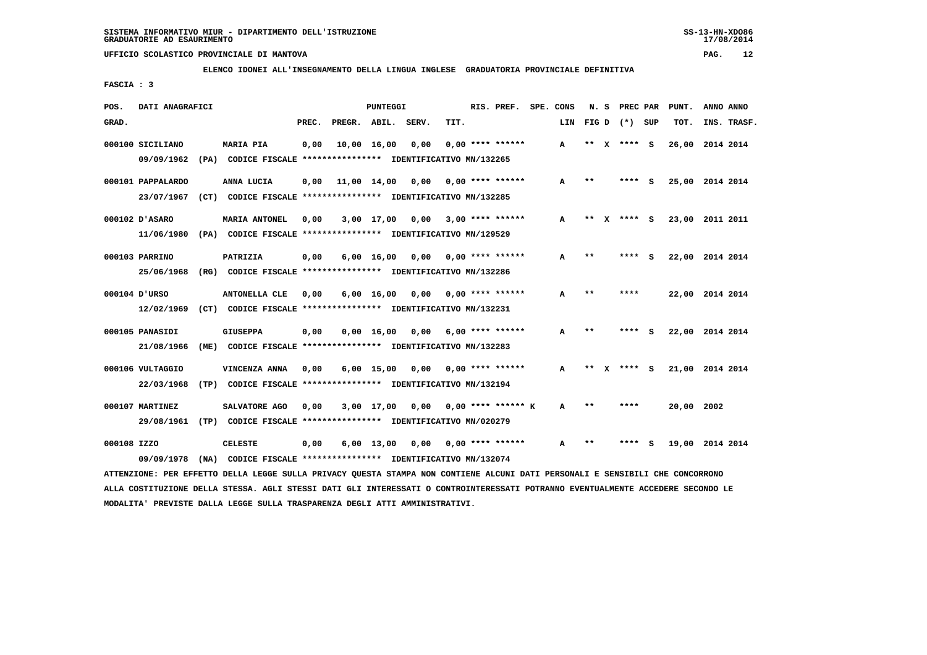**ELENCO IDONEI ALL'INSEGNAMENTO DELLA LINGUA INGLESE GRADUATORIA PROVINCIALE DEFINITIVA**

 **FASCIA : 3**

| POS.        | DATI ANAGRAFICI   |                                                                                                                               |       |             | PUNTEGGI           |                                    |      | RIS. PREF. SPE. CONS      |     | N.S   |              | <b>PREC PAR</b> |     | PUNT.           | ANNO ANNO |             |
|-------------|-------------------|-------------------------------------------------------------------------------------------------------------------------------|-------|-------------|--------------------|------------------------------------|------|---------------------------|-----|-------|--------------|-----------------|-----|-----------------|-----------|-------------|
| GRAD.       |                   |                                                                                                                               | PREC. |             |                    | PREGR. ABIL. SERV.                 | TIT. |                           | LIN |       |              | FIG D $(*)$ SUP |     | TOT.            |           | INS. TRASF. |
|             | 000100 SICILIANO  | <b>MARIA PIA</b>                                                                                                              | 0,00  | 10,00 16,00 |                    | 0,00                               |      | $0.00$ **** ******        | A   | $***$ | <b>X</b>     | **** S          |     | 26,00           | 2014 2014 |             |
|             | 09/09/1962        | (PA) CODICE FISCALE **************** IDENTIFICATIVO MN/132265                                                                 |       |             |                    |                                    |      |                           |     |       |              |                 |     |                 |           |             |
|             | 000101 PAPPALARDO | ANNA LUCIA                                                                                                                    | 0.00  | 11,00 14,00 |                    | 0.00                               |      | $0.00$ **** ******        | A   | $* *$ |              | **** S          |     | 25,00 2014 2014 |           |             |
|             | 23/07/1967        | (CT) CODICE FISCALE **************** IDENTIFICATIVO MN/132285                                                                 |       |             |                    |                                    |      |                           |     |       |              |                 |     |                 |           |             |
|             | 000102 D'ASARO    | <b>MARIA ANTONEL</b>                                                                                                          | 0,00  |             |                    | 3,00 17,00 0,00                    |      | $3,00$ **** ******        | A   | $***$ | $\mathbf{x}$ | **** S          |     | 23,00 2011 2011 |           |             |
|             |                   | 11/06/1980 (PA) CODICE FISCALE *************** IDENTIFICATIVO MN/129529                                                       |       |             |                    |                                    |      |                           |     |       |              |                 |     |                 |           |             |
|             | 000103 PARRINO    | PATRIZIA                                                                                                                      | 0,00  |             | $6,00$ 16,00       | 0,00                               |      | 0,00 **** ******          | A   | $* *$ |              | **** S          |     | 22,00 2014 2014 |           |             |
|             | 25/06/1968        | (RG) CODICE FISCALE **************** IDENTIFICATIVO MN/132286                                                                 |       |             |                    |                                    |      |                           |     |       |              |                 |     |                 |           |             |
|             | 000104 D'URSO     | <b>ANTONELLA CLE</b>                                                                                                          | 0,00  |             | $6,00 \quad 16,00$ | 0.00                               |      | $0.00$ **** ******        | A   | $* *$ |              | ****            |     | 22,00 2014 2014 |           |             |
|             | 12/02/1969        | (CT) CODICE FISCALE **************** IDENTIFICATIVO MN/132231                                                                 |       |             |                    |                                    |      |                           |     |       |              |                 |     |                 |           |             |
|             | 000105 PANASIDI   | <b>GIUSEPPA</b>                                                                                                               | 0,00  |             |                    | $0,00 \quad 16,00 \quad 0,00$      |      | $6,00$ **** ******        | A   | $***$ |              | ****            | - 5 | 22,00 2014 2014 |           |             |
|             | 21/08/1966        | (ME) CODICE FISCALE **************** IDENTIFICATIVO MN/132283                                                                 |       |             |                    |                                    |      |                           |     |       |              |                 |     |                 |           |             |
|             | 000106 VULTAGGIO  | VINCENZA ANNA                                                                                                                 | 0,00  |             |                    | $6,00$ 15,00 0,00 0,00 **** ****** |      |                           | A   | $***$ |              | X **** S        |     | 21,00 2014 2014 |           |             |
|             | 22/03/1968        | (TP) CODICE FISCALE **************** IDENTIFICATIVO MN/132194                                                                 |       |             |                    |                                    |      |                           |     |       |              |                 |     |                 |           |             |
|             | 000107 MARTINEZ   | SALVATORE AGO                                                                                                                 | 0,00  |             | 3,00 17,00         |                                    |      | $0,00$ 0,00 **** ****** K | A   | **    |              | ****            |     | 20,00 2002      |           |             |
|             | 29/08/1961        | (TP) CODICE FISCALE **************** IDENTIFICATIVO MN/020279                                                                 |       |             |                    |                                    |      |                           |     |       |              |                 |     |                 |           |             |
| 000108 IZZO |                   | <b>CELESTE</b>                                                                                                                | 0,00  |             | 6,00 13,00         | 0,00                               |      | $0.00$ **** ******        | А   | $* *$ |              |                 | s   | 19,00 2014 2014 |           |             |
|             | 09/09/1978        | (NA) CODICE FISCALE **************** IDENTIFICATIVO MN/132074                                                                 |       |             |                    |                                    |      |                           |     |       |              |                 |     |                 |           |             |
|             |                   | ATTENZIONE: PER EFFETTO DELLA LEGGE SULLA PRIVACY QUESTA STAMPA NON CONTIENE ALCUNI DATI PERSONALI E SENSIBILI CHE CONCORRONO |       |             |                    |                                    |      |                           |     |       |              |                 |     |                 |           |             |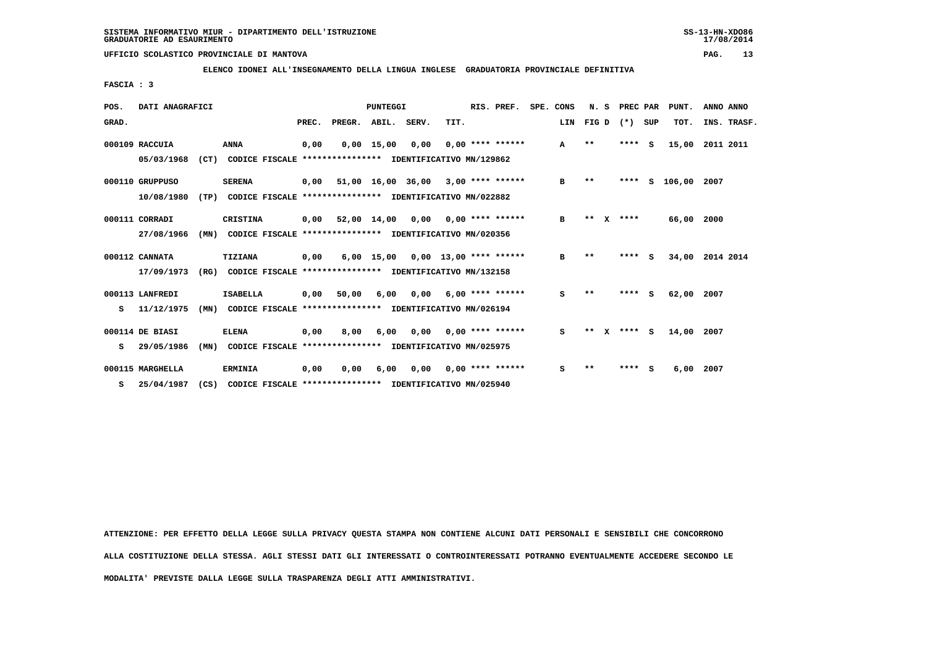**ELENCO IDONEI ALL'INSEGNAMENTO DELLA LINGUA INGLESE GRADUATORIA PROVINCIALE DEFINITIVA**

 **FASCIA : 3**

| POS.  | DATI ANAGRAFICI                                                                |      |                                                          | PUNTEGGI |        |                    |       |      |  | RIS. PREF.               |  | SPE. CONS | N.S   |   | PREC PAR |          | PUNT.  | ANNO ANNO   |  |
|-------|--------------------------------------------------------------------------------|------|----------------------------------------------------------|----------|--------|--------------------|-------|------|--|--------------------------|--|-----------|-------|---|----------|----------|--------|-------------|--|
| GRAD. |                                                                                |      |                                                          | PREC.    | PREGR. | ABIL.              | SERV. | TIT. |  |                          |  | LIN       | FIG D |   | $(*)$    | SUP      | TOT.   | INS. TRASF. |  |
|       | 000109 RACCUIA                                                                 |      | <b>ANNA</b>                                              | 0,00     |        | $0,00 \quad 15,00$ | 0,00  |      |  | $0,00$ **** ******       |  | A         | $* *$ |   | **** S   |          | 15,00  | 2011 2011   |  |
|       | (CT)<br>05/03/1968<br>CODICE FISCALE **************** IDENTIFICATIVO MN/129862 |      |                                                          |          |        |                    |       |      |  |                          |  |           |       |   |          |          |        |             |  |
|       | 000110 GRUPPUSO                                                                |      | <b>SERENA</b>                                            | 0,00     |        | 51,00 16,00 36,00  |       |      |  | $3,00$ **** ******       |  | в         | $* *$ |   | ****     | s        | 106,00 | 2007        |  |
|       | 10/08/1980                                                                     | (TP) | CODICE FISCALE **************** IDENTIFICATIVO MN/022882 |          |        |                    |       |      |  |                          |  |           |       |   |          |          |        |             |  |
|       | 000111 CORRADI                                                                 |      | CRISTINA                                                 | 0,00     |        | 52,00 14,00        | 0,00  |      |  | $0,00$ **** ******       |  | в         | **    | x | ****     |          | 66,00  | 2000        |  |
|       | 27/08/1966                                                                     | (MN) | CODICE FISCALE **************** IDENTIFICATIVO MN/020356 |          |        |                    |       |      |  |                          |  |           |       |   |          |          |        |             |  |
|       | 000112 CANNATA                                                                 |      | TIZIANA                                                  | 0,00     |        | $6,00$ 15,00       |       |      |  | $0.00$ 13.00 **** ****** |  | в         | $**$  |   | ****     | S.       | 34,00  | 2014 2014   |  |
|       | 17/09/1973                                                                     | (RG) | CODICE FISCALE **************** IDENTIFICATIVO MN/132158 |          |        |                    |       |      |  |                          |  |           |       |   |          |          |        |             |  |
|       | 000113 LANFREDI                                                                |      | <b>ISABELLA</b>                                          | 0,00     | 50,00  | 6,00               | 0,00  |      |  | $6,00$ **** ******       |  | s         | $* *$ |   | ****     | <b>S</b> | 62,00  | 2007        |  |
| s     | 11/12/1975                                                                     | (MN) | CODICE FISCALE **************** IDENTIFICATIVO MN/026194 |          |        |                    |       |      |  |                          |  |           |       |   |          |          |        |             |  |
|       | 000114 DE BIASI                                                                |      | <b>ELENA</b>                                             | 0,00     | 8,00   | 6,00               | 0,00  |      |  | $0.00$ **** ******       |  | s         | $* *$ |   | **** S   |          | 14,00  | 2007        |  |
| s     | 29/05/1986                                                                     | (MN) | CODICE FISCALE **************** IDENTIFICATIVO MN/025975 |          |        |                    |       |      |  |                          |  |           |       |   |          |          |        |             |  |
|       | 000115 MARGHELLA                                                               |      | <b>ERMINIA</b>                                           | 0,00     | 0.00   | 6,00               | 0.00  |      |  | $0.00$ **** ******       |  | s         | $* *$ |   | ****     | s        | 6,00   | 2007        |  |
| s     | 25/04/1987                                                                     | (CS) | CODICE FISCALE **************** IDENTIFICATIVO MN/025940 |          |        |                    |       |      |  |                          |  |           |       |   |          |          |        |             |  |